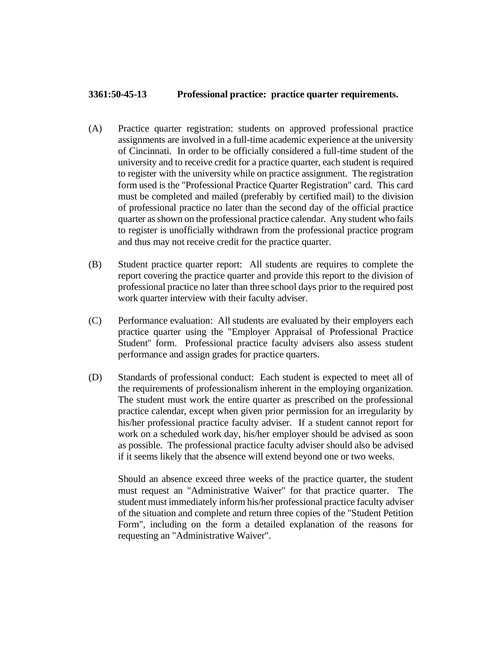## **3361:50-45-13 Professional practice: practice quarter requirements.**

- (A) Practice quarter registration: students on approved professional practice assignments are involved in a full-time academic experience at the university of Cincinnati. In order to be officially considered a full-time student of the university and to receive credit for a practice quarter, each student is required to register with the university while on practice assignment. The registration form used is the "Professional Practice Quarter Registration" card. This card must be completed and mailed (preferably by certified mail) to the division of professional practice no later than the second day of the official practice quarter as shown on the professional practice calendar. Any student who fails to register is unofficially withdrawn from the professional practice program and thus may not receive credit for the practice quarter.
- (B) Student practice quarter report: All students are requires to complete the report covering the practice quarter and provide this report to the division of professional practice no later than three school days prior to the required post work quarter interview with their faculty adviser.
- (C) Performance evaluation: All students are evaluated by their employers each practice quarter using the "Employer Appraisal of Professional Practice Student" form. Professional practice faculty advisers also assess student performance and assign grades for practice quarters.
- (D) Standards of professional conduct: Each student is expected to meet all of the requirements of professionalism inherent in the employing organization. The student must work the entire quarter as prescribed on the professional practice calendar, except when given prior permission for an irregularity by his/her professional practice faculty adviser. If a student cannot report for work on a scheduled work day, his/her employer should be advised as soon as possible. The professional practice faculty adviser should also be advised if it seems likely that the absence will extend beyond one or two weeks.

Should an absence exceed three weeks of the practice quarter, the student must request an "Administrative Waiver" for that practice quarter. The student must immediately inform his/her professional practice faculty adviser of the situation and complete and return three copies of the "Student Petition Form", including on the form a detailed explanation of the reasons for requesting an "Administrative Waiver".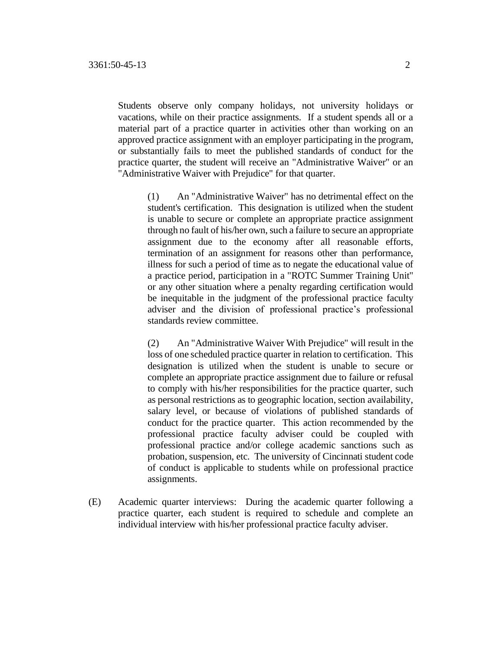Students observe only company holidays, not university holidays or vacations, while on their practice assignments. If a student spends all or a material part of a practice quarter in activities other than working on an approved practice assignment with an employer participating in the program, or substantially fails to meet the published standards of conduct for the practice quarter, the student will receive an "Administrative Waiver" or an "Administrative Waiver with Prejudice" for that quarter.

(1) An "Administrative Waiver" has no detrimental effect on the student's certification. This designation is utilized when the student is unable to secure or complete an appropriate practice assignment through no fault of his/her own, such a failure to secure an appropriate assignment due to the economy after all reasonable efforts, termination of an assignment for reasons other than performance, illness for such a period of time as to negate the educational value of a practice period, participation in a "ROTC Summer Training Unit" or any other situation where a penalty regarding certification would be inequitable in the judgment of the professional practice faculty adviser and the division of professional practice's professional standards review committee.

(2) An "Administrative Waiver With Prejudice" will result in the loss of one scheduled practice quarter in relation to certification. This designation is utilized when the student is unable to secure or complete an appropriate practice assignment due to failure or refusal to comply with his/her responsibilities for the practice quarter, such as personal restrictions as to geographic location, section availability, salary level, or because of violations of published standards of conduct for the practice quarter. This action recommended by the professional practice faculty adviser could be coupled with professional practice and/or college academic sanctions such as probation, suspension, etc. The university of Cincinnati student code of conduct is applicable to students while on professional practice assignments.

(E) Academic quarter interviews: During the academic quarter following a practice quarter, each student is required to schedule and complete an individual interview with his/her professional practice faculty adviser.